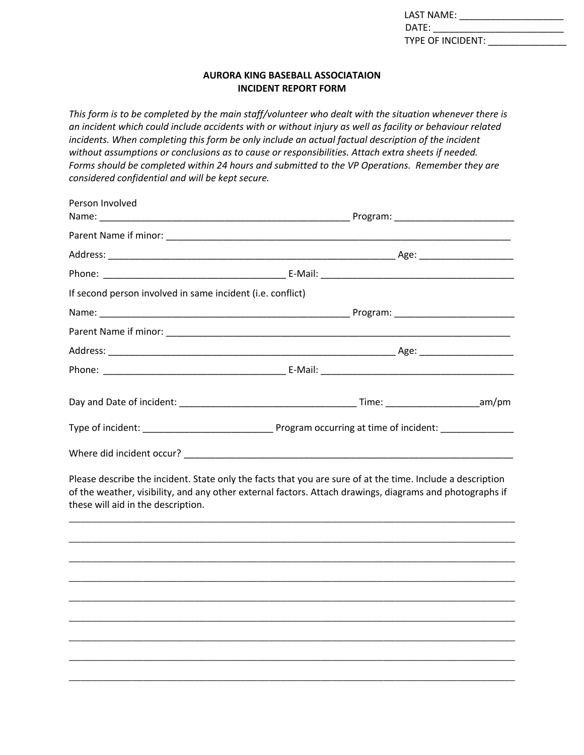| LAST NAME:               |  |
|--------------------------|--|
| DATE:                    |  |
| <b>TYPE OF INCIDENT:</b> |  |

## **AURORA KING BASEBALL ASSOCIATAION INCIDENT REPORT FORM**

*This form is to be completed by the main staff/volunteer who dealt with the situation whenever there is an incident which could include accidents with or without injury as well as facility or behaviour related incidents. When completing this form be only include an actual factual description of the incident without assumptions or conclusions as to cause or responsibilities. Attach extra sheets if needed. Forms should be completed within 24 hours and submitted to the VP Operations. Remember they are considered confidential and will be kept secure.*

| Person Involved<br>Name:                                   |                                                                                                                                                                                                                        |  |
|------------------------------------------------------------|------------------------------------------------------------------------------------------------------------------------------------------------------------------------------------------------------------------------|--|
|                                                            |                                                                                                                                                                                                                        |  |
|                                                            |                                                                                                                                                                                                                        |  |
|                                                            |                                                                                                                                                                                                                        |  |
| If second person involved in same incident (i.e. conflict) |                                                                                                                                                                                                                        |  |
|                                                            |                                                                                                                                                                                                                        |  |
|                                                            |                                                                                                                                                                                                                        |  |
|                                                            |                                                                                                                                                                                                                        |  |
|                                                            |                                                                                                                                                                                                                        |  |
|                                                            |                                                                                                                                                                                                                        |  |
|                                                            |                                                                                                                                                                                                                        |  |
|                                                            |                                                                                                                                                                                                                        |  |
| these will aid in the description.                         | Please describe the incident. State only the facts that you are sure of at the time. Include a description<br>of the weather, visibility, and any other external factors. Attach drawings, diagrams and photographs if |  |
|                                                            |                                                                                                                                                                                                                        |  |
|                                                            |                                                                                                                                                                                                                        |  |
|                                                            |                                                                                                                                                                                                                        |  |
|                                                            |                                                                                                                                                                                                                        |  |
|                                                            |                                                                                                                                                                                                                        |  |
|                                                            |                                                                                                                                                                                                                        |  |
|                                                            |                                                                                                                                                                                                                        |  |
|                                                            |                                                                                                                                                                                                                        |  |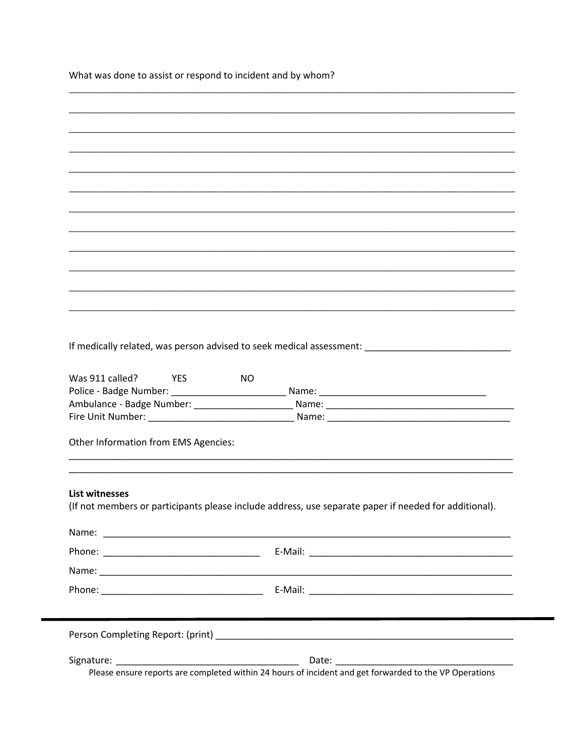What was done to assist or respond to incident and by whom?

| If medically related, was person advised to seek medical assessment: ______________________________                            |
|--------------------------------------------------------------------------------------------------------------------------------|
| Was 911 called?<br><b>THES</b><br>NO.                                                                                          |
|                                                                                                                                |
|                                                                                                                                |
| Other Information from EMS Agencies:                                                                                           |
|                                                                                                                                |
| <b>List witnesses</b><br>(If not members or participants please include address, use separate paper if needed for additional). |
|                                                                                                                                |
|                                                                                                                                |
|                                                                                                                                |
|                                                                                                                                |
|                                                                                                                                |
|                                                                                                                                |
|                                                                                                                                |